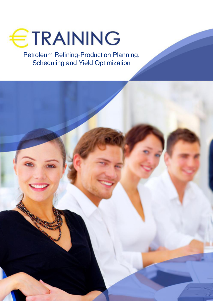

Petroleum Refining-Production Planning, Scheduling and Yield Optimization

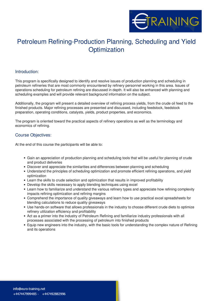

# Petroleum Refining-Production Planning, Scheduling and Yield **Optimization**

#### **Introduction:**

This program is specifically designed to identify and resolve issues of production planning and scheduling in petroleum refineries that are most commonly encountered by refinery personnel working in this area. Issues of operations scheduling for petroleum refining are discussed in depth. It will also be enhanced with planning and scheduling examples and will provide relevant background information on the subject.

Additionally, the program will present a detailed overview of refining process yields, from the crude oil feed to the finished products. Major refining processes are presented and discussed, including feedstock, feedstock preparation, operating conditions, catalysts, yields, product properties, and economics.

The program is oriented toward the practical aspects of refinery operations as well as the terminology and economics of refining.

#### **Course Objectives:**

At the end of this course the participants will be able to:

- Gain an appreciation of production planning and scheduling tools that will be useful for planning of crude and product deliveries
- Discover and appreciate the similarities and differences between planning and scheduling
- Understand the principles of scheduling optimization and promote efficient refining operations, and yield optimization
- Learn the skills to crude selection and optimization that results in improved profitability
- Develop the skills necessary to apply blending techniques using excel
- Learn how to familiarize and understand the various refinery types and appreciate how refining complexity impacts refining optimization and refining margins
- Comprehend the importance of quality giveaways and learn how to use practical excel spreadsheets for blending calculations to reduce quality giveaways
- Use hands-on software that allows professionals in the industry to choose different crude diets to optimize refinery utilization efficiency and profitability
- Act as a primer into the industry of Petroleum Refining and familiarize industry professionals with all processes associated with the processing of petroleum into finished products
- Equip new engineers into the industry, with the basic tools for understanding the complex nature of Refining and its operations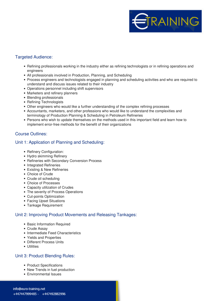

#### **Targeted Audience:**

- Refining professionals working in the industry either as refining technologists or in refining operations and engineers
- All professionals involved in Production, Planning, and Scheduling
- Process engineers and technologists engaged in planning and scheduling activities and who are required to understand and discuss issues related to their industry
- Operations personnel including shift supervisors
- Marketers and refinery planners
- Blending professionals
- Refining Technologists
- Other engineers who would like a further understanding of the complex refining processes
- Accountants, marketers, and other professions who would like to understand the complexities and terminology of Production Planning & Scheduling in Petroleum Refineries
- Persons who wish to update themselves on the methods used in this important field and learn how to implement error-free methods for the benefit of their organizations

#### **Course Outlines:**

#### **Unit 1: Application of Planning and Scheduling:**

- Refinery Configuration:
- Hydro skimming Refinery
- Refineries with Secondary Conversion Process
- Integrated Refineries
- Existing & New Refineries
- Choice of Crude
- Crude oil scheduling
- Choice of Processes
- Capacity utilization of Crudes
- The severity of Process Operations
- Cut-points Optimization
- Facing Upset Situations
- Tankage Requirement

# **Unit 2: Improving Product Movements and Releasing Tankages:**

- Basic Information Required
- Crude Assay
- Intermediate Feed Characteristics
- Yields and Properties
- Different Process Units
- Utilities

# **Unit 3: Product Blending Rules:**

- Product Specifications
- New Trends in fuel production
- Environmental Issues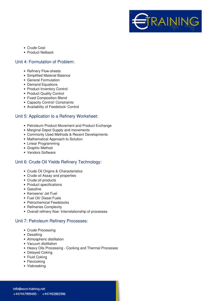

- Crude Cost
- Product Netback

#### **Unit 4: Formulation of Problem:**

- Refinery Flow-sheets
- Simplified Material Balance
- General Formulation
- Demand Equations
- Product Inventory Control
- Product Quality Control
- Fixed Composition Blend
- Capacity Control/ Constraints
- Availability of Feedstock/ Control

## **Unit 5: Application to a Refinery Worksheet:**

- Petroleum Product Movement and Product Exchange
- Marginal Depot Supply and movements
- Commonly Used Methods & Recent Developments
- Mathematical Approach to Solution
- Linear Programming
- Graphic Method
- Vendors Software

# **Unit 6: Crude Oil Yields Refinery Technology:**

- Crude Oil Origins & Characteristics
- Crude oil Assay and properties
- Crude oil products
- Product specifications
- Gasoline
- Kerosene/ Jet Fuel
- Fuel Oil/ Diesel Fuels
- Petrochemical Feedstocks
- Refineries Complexity
- Overall refinery flow: Interrelationship of processes

# **Unit 7: Petroleum Refinery Processes:**

- Crude Processing
- Desalting
- Atmospheric distillation
- Vacuum distillation
- Heavy Oils Processing Cocking and Thermal Processes
- Delayed Coking
- Fluid Coking
- Flexicoking
- Visbreaking